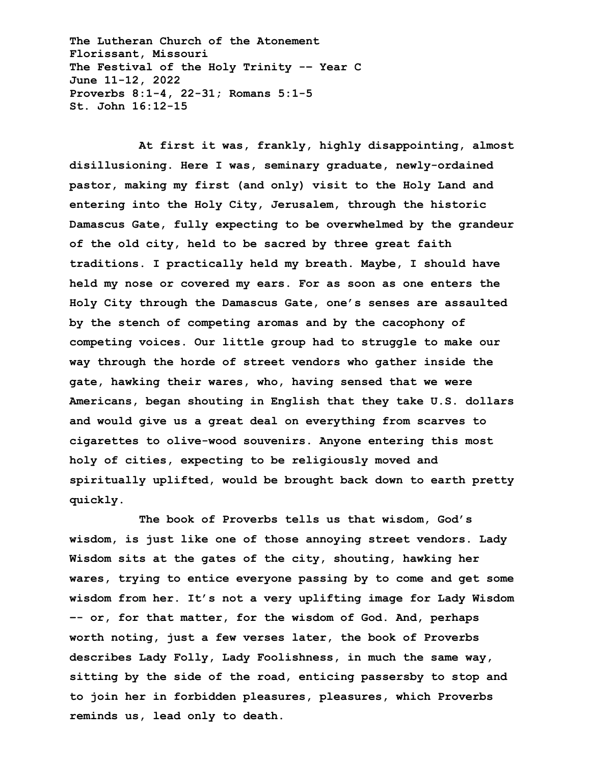**The Lutheran Church of the Atonement Florissant, Missouri The Festival of the Holy Trinity -– Year C June 11-12, 2022 Proverbs 8:1-4, 22-31; Romans 5:1-5 St. John 16:12-15**

**At first it was, frankly, highly disappointing, almost disillusioning. Here I was, seminary graduate, newly-ordained pastor, making my first (and only) visit to the Holy Land and entering into the Holy City, Jerusalem, through the historic Damascus Gate, fully expecting to be overwhelmed by the grandeur of the old city, held to be sacred by three great faith traditions. I practically held my breath. Maybe, I should have held my nose or covered my ears. For as soon as one enters the Holy City through the Damascus Gate, one's senses are assaulted by the stench of competing aromas and by the cacophony of competing voices. Our little group had to struggle to make our way through the horde of street vendors who gather inside the gate, hawking their wares, who, having sensed that we were Americans, began shouting in English that they take U.S. dollars and would give us a great deal on everything from scarves to cigarettes to olive-wood souvenirs. Anyone entering this most holy of cities, expecting to be religiously moved and spiritually uplifted, would be brought back down to earth pretty quickly.**

**The book of Proverbs tells us that wisdom, God's wisdom, is just like one of those annoying street vendors. Lady Wisdom sits at the gates of the city, shouting, hawking her wares, trying to entice everyone passing by to come and get some wisdom from her. It's not a very uplifting image for Lady Wisdom –- or, for that matter, for the wisdom of God. And, perhaps worth noting, just a few verses later, the book of Proverbs describes Lady Folly, Lady Foolishness, in much the same way, sitting by the side of the road, enticing passersby to stop and to join her in forbidden pleasures, pleasures, which Proverbs reminds us, lead only to death.**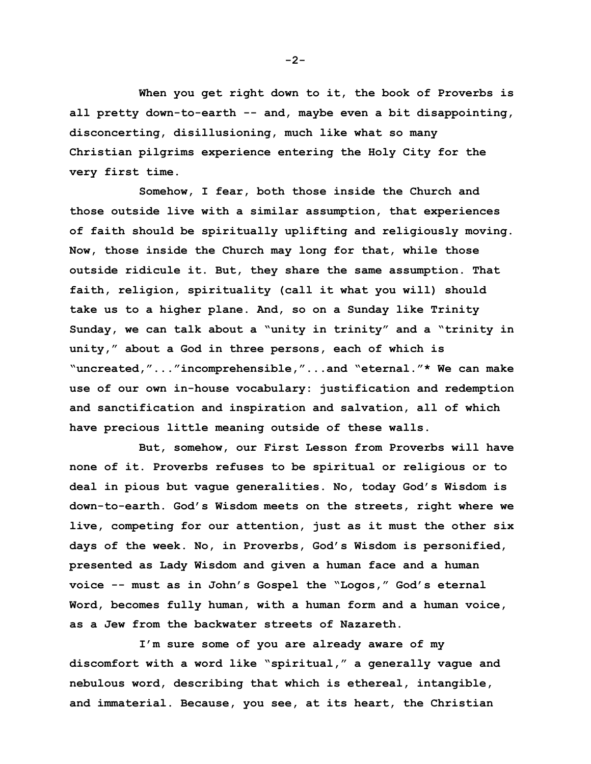**When you get right down to it, the book of Proverbs is all pretty down-to-earth -- and, maybe even a bit disappointing, disconcerting, disillusioning, much like what so many Christian pilgrims experience entering the Holy City for the very first time.**

**Somehow, I fear, both those inside the Church and those outside live with a similar assumption, that experiences of faith should be spiritually uplifting and religiously moving. Now, those inside the Church may long for that, while those outside ridicule it. But, they share the same assumption. That faith, religion, spirituality (call it what you will) should take us to a higher plane. And, so on a Sunday like Trinity Sunday, we can talk about a "unity in trinity" and a "trinity in unity," about a God in three persons, each of which is "uncreated,"..."incomprehensible,"...and "eternal."\* We can make use of our own in-house vocabulary: justification and redemption and sanctification and inspiration and salvation, all of which have precious little meaning outside of these walls.**

**But, somehow, our First Lesson from Proverbs will have none of it. Proverbs refuses to be spiritual or religious or to deal in pious but vague generalities. No, today God's Wisdom is down-to-earth. God's Wisdom meets on the streets, right where we live, competing for our attention, just as it must the other six days of the week. No, in Proverbs, God's Wisdom is personified, presented as Lady Wisdom and given a human face and a human voice -- must as in John's Gospel the "Logos," God's eternal Word, becomes fully human, with a human form and a human voice, as a Jew from the backwater streets of Nazareth.**

**I'm sure some of you are already aware of my discomfort with a word like "spiritual," a generally vague and nebulous word, describing that which is ethereal, intangible, and immaterial. Because, you see, at its heart, the Christian** 

**-2-**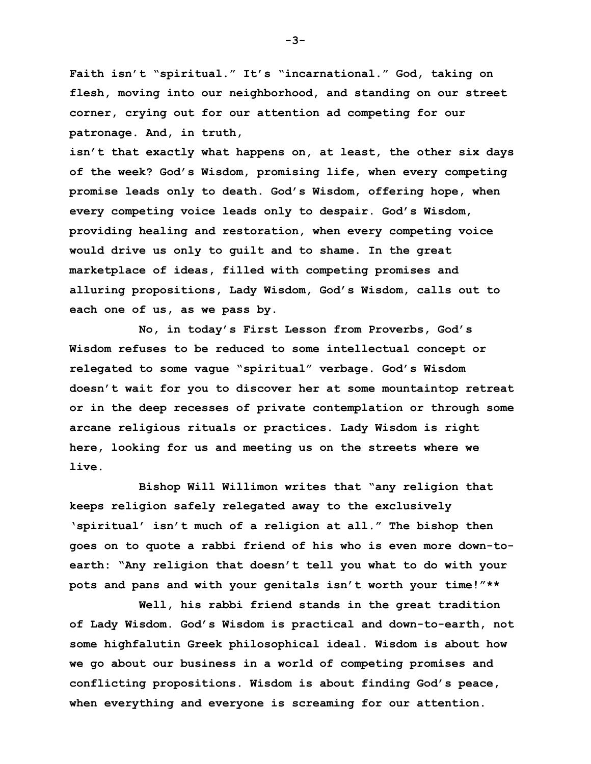**Faith isn't "spiritual." It's "incarnational." God, taking on flesh, moving into our neighborhood, and standing on our street corner, crying out for our attention ad competing for our patronage. And, in truth,** 

**isn't that exactly what happens on, at least, the other six days of the week? God's Wisdom, promising life, when every competing promise leads only to death. God's Wisdom, offering hope, when every competing voice leads only to despair. God's Wisdom, providing healing and restoration, when every competing voice would drive us only to guilt and to shame. In the great marketplace of ideas, filled with competing promises and alluring propositions, Lady Wisdom, God's Wisdom, calls out to each one of us, as we pass by.**

**No, in today's First Lesson from Proverbs, God's Wisdom refuses to be reduced to some intellectual concept or relegated to some vague "spiritual" verbage. God's Wisdom doesn't wait for you to discover her at some mountaintop retreat or in the deep recesses of private contemplation or through some arcane religious rituals or practices. Lady Wisdom is right here, looking for us and meeting us on the streets where we live.**

**Bishop Will Willimon writes that "any religion that keeps religion safely relegated away to the exclusively 'spiritual' isn't much of a religion at all." The bishop then goes on to quote a rabbi friend of his who is even more down-toearth: "Any religion that doesn't tell you what to do with your pots and pans and with your genitals isn't worth your time!"\*\***

**Well, his rabbi friend stands in the great tradition of Lady Wisdom. God's Wisdom is practical and down-to-earth, not some highfalutin Greek philosophical ideal. Wisdom is about how we go about our business in a world of competing promises and conflicting propositions. Wisdom is about finding God's peace, when everything and everyone is screaming for our attention.** 

**-3-**